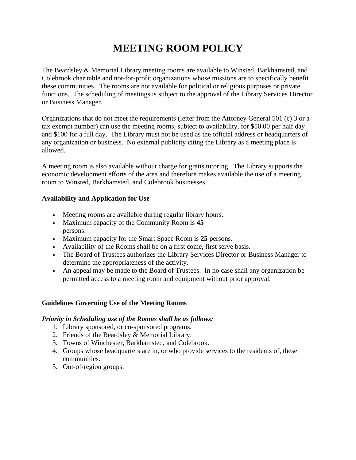# **MEETING ROOM POLICY**

The Beardsley & Memorial Library meeting rooms are available to Winsted, Barkhamsted, and Colebrook charitable and not-for-profit organizations whose missions are to specifically benefit these communities. The rooms are not available for political or religious purposes or private functions. The scheduling of meetings is subject to the approval of the Library Services Director or Business Manager.

Organizations that do not meet the requirements (letter from the Attorney General 501 (c) 3 or a tax exempt number) can use the meeting rooms, subject to availability, for \$50.00 per half day and \$100 for a full day. The Library must not be used as the official address or headquarters of any organization or business. No external publicity citing the Library as a meeting place is allowed.

A meeting room is also available without charge for gratis tutoring. The Library supports the economic development efforts of the area and therefore makes available the use of a meeting room to Winsted, Barkhamsted, and Colebrook businesses.

## **Availability and Application for Use**

- Meeting rooms are available during regular library hours.
- Maximum capacity of the Community Room is **45** persons.
- Maximum capacity for the Smart Space Room is **25** persons.
- Availability of the Rooms shall be on a first come, first serve basis.
- The Board of Trustees authorizes the Library Services Director or Business Manager to determine the appropriateness of the activity.
- An appeal may be made to the Board of Trustees. In no case shall any organization be permitted access to a meeting room and equipment without prior approval.

#### **Guidelines Governing Use of the Meeting Rooms**

#### *Priority in Scheduling use of the Rooms shall be as follows:*

- 1. Library sponsored, or co-sponsored programs.
- 2. Friends of the Beardsley & Memorial Library.
- 3. Towns of Winchester, Barkhamsted, and Colebrook.
- 4. Groups whose headquarters are in, or who provide services to the residents of, these communities.
- 5. Out-of-region groups.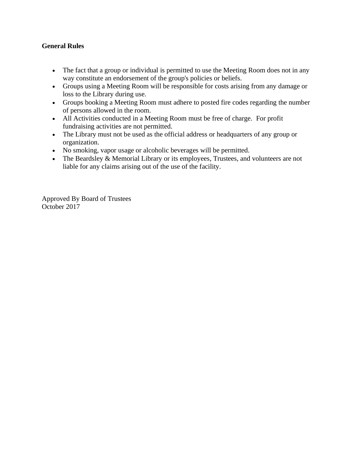## **General Rules**

- The fact that a group or individual is permitted to use the Meeting Room does not in any way constitute an endorsement of the group's policies or beliefs.
- Groups using a Meeting Room will be responsible for costs arising from any damage or loss to the Library during use.
- Groups booking a Meeting Room must adhere to posted fire codes regarding the number of persons allowed in the room.
- All Activities conducted in a Meeting Room must be free of charge. For profit fundraising activities are not permitted.
- The Library must not be used as the official address or headquarters of any group or organization.
- No smoking, vapor usage or alcoholic beverages will be permitted.
- The Beardsley & Memorial Library or its employees, Trustees, and volunteers are not liable for any claims arising out of the use of the facility.

Approved By Board of Trustees October 2017